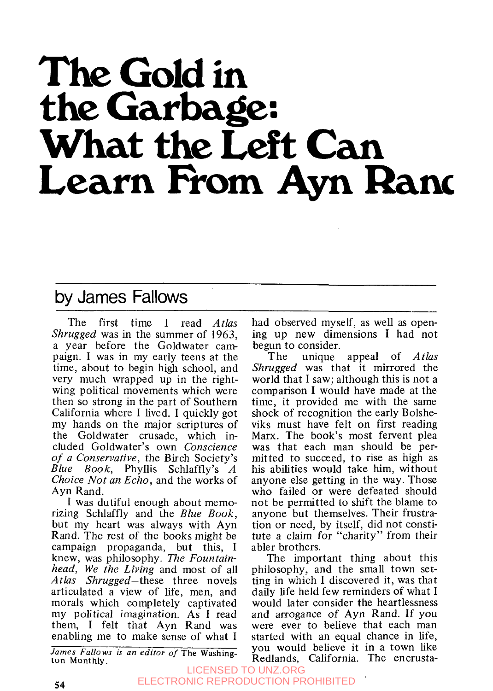# **The Gold in What the Left Can Learn From** Ayn **Ranc**

### by James Fallows

The first time I read *Atlas* Shrugged was in the summer of **1963,**  a year before the Goldwater cam paign. I was in my early teens at the time, about to begin high school, and very much wrapped up in the rightwing political movements which were then so strong in the part of Southern California where I lived. I quickly got my hands on the major scriptures of the Goldwater crusade, which included Goldwater's own Conscience *of* a Conservative, the Birch Society's Blue Book, Phyllis Schlaffly's *A*  Choice Not an Echo, and the works of Ayn Rand.

I was dutiful enough about memorizing Schlaffly and the Blue Book, but my heart was always with Ayn Rand. The rest of the books might be campaign propaganda, but this, I knew, was philosophy. The Fountainhead, We the Living and most of all Atlas Shrugged-these three novels articulated a view of life, men, and morals which completely captivated my political imagination. As I read them, I felt that Ayn Rand was enabling me to make sense of what I

*James Fallows is an editor of* The Washington Monthly.

had observed myself, as well as opening up new dimensions **I** had not begun to consider.

The unique appeal of *Atlas* Shrugged was that it mirrored the world that I saw; although this is not a comparison I would have made at the time, it provided me with the same shock of recognition the early Bolsheviks must have felt on first reading Marx. The book's most fervent plea was that each man should be permitted to succeed, to rise as high as his abilities would take him, without anyone else getting in the way. Those who failed or were defeated should not be permitted to shift the blame to anyone but themselves. Their frustration or need, by itself, did not constitute a claim for "charity" from their abler brothers.

The important thing about this philosophy, and the small town setting in which I discovered it, was that daily life held few reminders of what I would later consider the heartlessness and arrogance of **Ayn** Rand. If you were ever to believe that each man started with an equal chance in life, you would believe it in a town like Redlands, California. The encrusta-

LICENSED TO UNZ.ORG ELECTRONIC REPRODUCTION PROHIBITED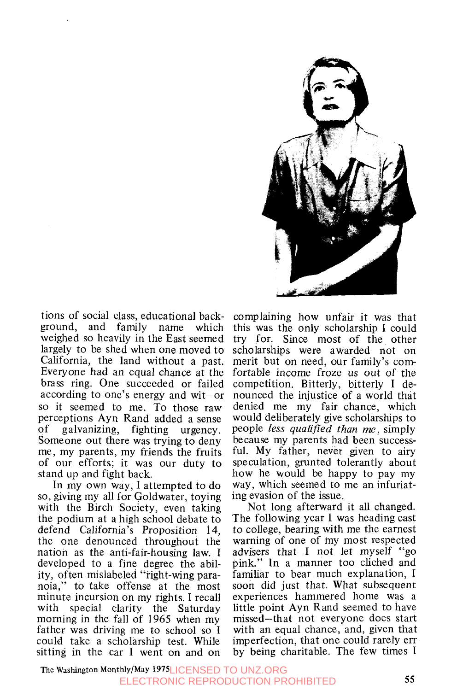

tions of social class, educational background, and family name which weighed so heavily in the East seemed largely to be shed when one moved to California, the land without a past. Everyone had an equal chance at the brass ring. One succeeded or failed according to one's energy and wit-or so it seemed to me. To those raw perceptions Ayn Rand added a sense of galvanizing, fighting urgency. Someone out there was trying to deny me, my parents, my friends the fruits of our efforts; it was our duty to stand up and fight back.

In my own way, I attempted to do so, giving my all for Goldwater, toying with the Birch Society, even taking the podium at a high school debate to defend California's Proposition 14, the one denounced throughout the nation as the anti-fair-housing law. **I**  developed to a fine degree the ability, often mislabeled "right-wing paranoia," to take offense at the most minute incursion on my rights. I recall with special clarity the Saturday morning in the fall of 1965 when my father was driving me to school so **I**  could take a scholarship test. While sitting in the car I went on and on

complaining how unfair it was that this was the only scholarship I could try for. Since most of the other scholarships were awarded not on merit but on need, our family's comfortable income froze us out of the competition. Bitterly, bitterly **I** denounced the injustice of a world that denied me my fair chance, which would deliberately give scholarships to people *less qualified than me,* simply because my parents had been successful. My father, never given to airy speculation, grunted tolerantly about how he would be happy to pay my way, which seemed to me an infuriating evasion of the issue.

Not long afterward it all changed. The following year I was heading east to college, bearing with me the earnest warning of one of my most respected advisers that I not let myself "go pink." In a manner too cliched and familiar to bear much explanation, I soon did just that. What subsequent experiences hammered home was a little point Ayn Rand seemed to have missed-that not everyone does start with an equal chance, and, given that imperfection, that one could rarely err by being charitable. The few times I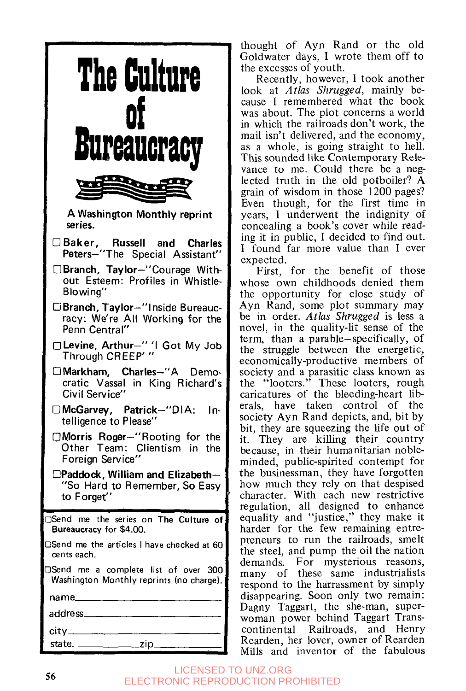

thought of Ayn Rand or the old Goldwater days, I wrote them off to the excesses of youth.

Recently, however, I took another look at *Atlas Shrugged,* mainly because I remembered what the book was about. The plot concerns a world in which the railroads don't work, the mail isn't delivered, and the economy, as a whole, is going straight to hell. This sounded like Contemporary Relevance to me. Could there be a neglected truth in the old potboiler? **A**  grain of wisdom in those 1200 pages? Even though, for the first time in years, **1** underwent the indignity of concealing a book's cover while reading it in public, I decided to find out. **I** found far more value than I ever expected.

First, for the benefit of those whose own childhoods denied them the opportunity for close study of Ayn Rand, some plot summary may be in order. *Atlas Shrugged* is less a novel, in the quality-lit sense of the term, than a parable-specifically, of the struggle between the energetic, economically-productive members of society and a parasitic class known as the "looters." These looters, rough caricatures of the bleeding-heart liberals, have taken control of the society Ayn Rand depicts, and, bit by bit, they are squeezing the life out of it. They are killing their country because, in their humanitarian nobleminded, public-spirited contempt for the businessman, they have forgotten how much they rely on that despised character. With each new restrictive regulation, all designed to enhance equality and "justice," they make it harder for the few remaining entrepreneurs to run the railroads, smelt the steel, and pump the oil the nation demands. For mysterious reasons, many of these same industrialists respond to the harrassment by simply disappearing. Soon only two remain: Dagny Taggart, the she-man, superwoman power behind Taggart Transcontinental Railroads, and Henry Rearden, her lover, owner of Rearden Mills and inventor of the fabulous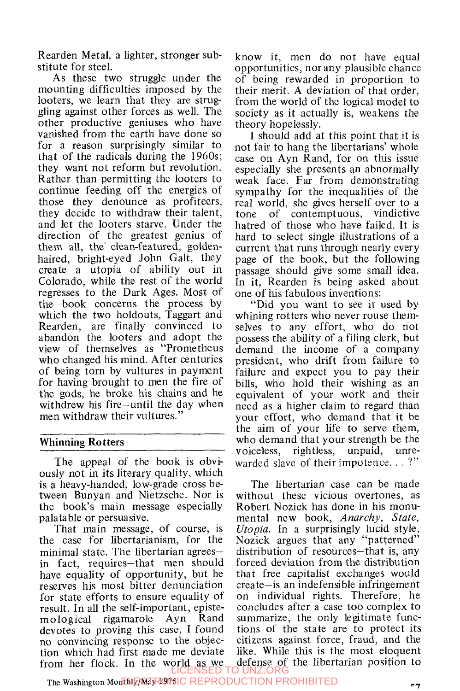Rearden Metal, a lighter, stronger substitute for steel.

As these two struggle under the mounting difficulties imposed by the looters, we learn that they are struggling against other forces as well. The other productive geniuses who have vanished from the earth have done so for a reason surprisingly similar to that of the radicals during the 1960s; they want not reform but revolution. Rather than permitting the looters to continue feeding off the energies of those they denounce as profiteers, they decide to withdraw their talent, and let the looters starve. Under the direction of the greatest genius of them all, the' clean-featured, goldenhaired, bright-eyed John Galt, they create a utopia of ability out in Colorado, while the rest of the world regresses to the Dark Ages. Most of the book concerns the process by which the two holdouts, Taggart and Rearden, are finally convinced to abandon the looters and adopt the view of themselves as "Prometheus who changed his mind. After centuries of being torn by vultures in payment for having brought to men the fire of the gods, he broke his chains and he withdrew his fire-until the day when men withdraw their vultures."

#### **Whinning Ro tters**

The appeal of the book is obviously not in its literary quality, which is a heavy-handed, low-grade cross between Bunyan and Nietzsche. Nor is the book's main message especially palatable or persuasive.

That main message, of course, is the case for libertarianism, for the minimal state. The libertarian agreesin fact, requires-that men should have equality of opportunity, but he reserves his most bitter denunciation for state efforts to ensure equality of result. In all the self-important, episte-<br>mological rigamarole Ayn Rand mological rigamarole Ayn Rand devotes to proving this case, I found no convincing response to the objection which had first made me deviate from her flock. In the world as we LICENSED TO UNZ.ORG

know it, men do not have equal opportunities, nor any plausible chance of being rewarded in proportion to their merit. A deviation of that order, from the world of the logical model to society as it actually is, weakens the theory hopelessly.

I should add at this point that it is not fair to hang the libertarians' whole case on Ayn Rand, for on this issue especially she presents an abnormally weak face. Far from demonstrating sympathy for the inequalities of the real world, she gives herself over to a tone of contemptuous, vindictive hatred of those who have failed. It is hard to select single illustrations of a current that runs through nearly every page of the book, but the following passage should give some small idea. In it, Rearden is being asked about one of his fabulous inventions:

"Did you want to see it used by whining rotters who never rouse themselves to any effort, who do not possess the ability of a filing clerk, but demand the income of a company president, who drift from failure to failure and expect you to pay their bills, who hold their wishing as an equivalent of your work and their need as a higher claim to regard than your effort, who demand that it be the aim of your life to serve them, who demand that your strength be the voiceless, rightless, unpaid, unrewarded slave of their impotence...?"

The libertarian case can be made without these vicious overtones, as Robert Nozick has done in his monumental new book, *Anarchy, State, Utopia.* In a surprisingly lucid style, Nozick argues that any "patterned" distribution of resources-that is, any forced deviation from the distribution that free capitalist exchanges would create-is an indefensible infringement on individual rights. Therefore, he concludes after a case too complex to summarize, the only legitimate functions of the state are to protect its citizens against force, fraud, and the like. While this is the most eloquent defense of the libertarian position to<br>UNZORG

**The Washington Monthly/May 1975**  ELECTRONIC REPRODUCTION PROHIBITED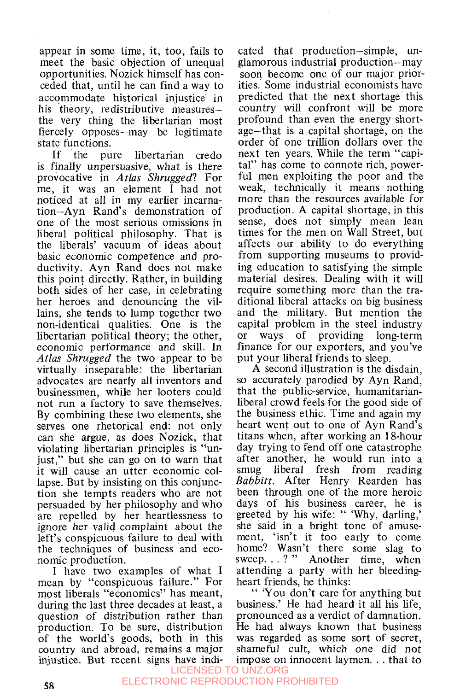appear in some time, it, too, fails to meet the basic objection of unequal opportunities. Nozick himself has conceded that, until he can find a way to accommodate historical injustice in his theory, redistributive measuresthe very thing the libertarian most fiercely opposes-may be legitimate

state functions.<br>If the pu pure libertarian credo is finally unpersuasive, what is there provocative in *Atlas Shrugged?* For me, it was an element I had not noticed at all in my earlier incarnation-Ayn Rand's demonstration of one of the most serious omissions in liberal political philosophy. That is the liberals' vacuum of ideas about basic economic competence and productivity. Ayn Rand does not make this point directly. Rather, in building both sides of her case, in celebrating her heroes and denouncing the villains, she tends to lump together two non-identical qualities. One is the libertarian political theory; the other, economic performance and skill. In *Atlas Shrugged* the two appear to be virtually inseparable: the libertarian advocates are nearly all inventors and businessmen, while her looters could not run a factory to save themselves. By combining these two elements, she serves one rhetorical end: not only can she argue, as does Nozick, that violating libertarian principles is "unjust," but she can go on to warn that it will cause an utter economic collapse. But by insisting on this conjunction she tempts readers who are not persuaded by her philosophy and who are repelled by her heartlessness to ignore her valid complaint about the left's conspicuous failure to deal with the techniques of business and economic production.

I have two examples of what I mean by "conspicuous failure." For most liberals "economics" has meant, during the last three decades at least, a question of distribution rather than production. To be sure, distribution of the world's goods, both in this country and abroad, remains a major injustice. But recent signs have indi-

cated that production-simple, unglamorous industrial production-may soon become one of our major priorities. Some industrial economists have predicted that the next shortage this country will confront will be more profound than even the energy shortage-that is a capital shortage, on the order of one trillion dollars over the next ten years. While the term "capital" has come to connote rich, powerful men exploiting the poor and the weak, technically it means nothing more than the resources available for production. A capital shortage, in this sense, does not simply mean lean times for the men on Wall Street, but affects our ability to do everything from supporting museums to providing education to satisfying the simple material desires. Dealing with it will require something more than the traditional liberal attacks on big business and the military. But mention the capital problem in the steel industry<br>or ways of providing long-term or ways of providing long-term finance for our exporters, and you've put your liberal friends to sleep.

A second illustration is the disdain, so accurately parodied by Ayn Rand, that the pu blic-service, humanitarianliberal crowd feels for the good side of the business ethic. Time and again my heart went out to one of Ayn Rand's titans when, after working an **1** %hour day trying to fend off one catastrophe after another, he would run into a smug liberal fresh from reading *Babbitt.* After Henry Rearden has been through one of the more heroic days of his business career, he is greeted by his wife: " 'Why, darling,' she said in a bright tone of amusement, 'isn't it too early to come home? Wasn't there some slag to sweep...?" Another time, when attending a party with her bleedingheart friends, he thinks:

" 'You don't care for anything but business.' He had heard it all his life, pronounced as a verdict of damnation. He had always known that business was regarded as some sort of secret, shameful cult, which one did not impose on innocent laymen. . . that to LICENSED TO UNZ.ORG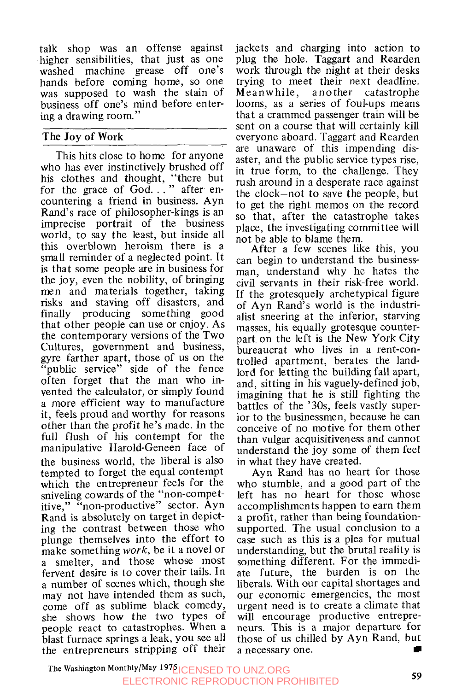talk shop was an offense against higher sensibilities, that just as one washed machine grease off one's hands before coming home, so one was supposed to wash the stain of business off one's mind before entering a drawing room."

#### **The Joy** *of* **Work**

This hits close to home for anyone who has ever instinctively brushed off his clothes and thought, "there but<br>for the grace of God..." after encountering a friend in business. Ayn Rand's race of philosopher-kings is an imprecise portrait of the business world, to say the least, but inside all this overblown heroism there is a small reminder of a neglected point. It is that some people are in business for the joy, even the nobility, of bringing men and materials together, taking risks and staving off disasters, and finally producing something good that other people can use or enjoy. As the contemporary versions of the Two Cultures, government and business, gyre Earther apart, those of us on the "public service" side of the fence often forget that the man who invented the calculator, or simply found a more efficient way to manufacture it, feels proud and worthy for reasons other than the profit he's made. In the full flush of his contempt for the manipulative Harold-Geneen face of the business world, the liberal is also tempted to forget the equal contempt which the entrepreneur feels for the sniveling cowards of the "non-competitive," "non-productive" sector. Ayn Rand is absolutely on target in depicting the contrast between those who plunge themselves into the effort to make something *work,* be it a novel or a smelter, and those whose most fervent desire is to cover their tails. In a number of scenes which, though she may not have intended them as such, come off as sublime black comedy, she shows how the two types of people react to catastrophes. When a blast furnace springs a leak, you see all the entrepreneurs stripping off their

jackets and charging into action to plug the hole. Taggart and Rearden work through the night at their desks trying to meet their next deadline.<br>Meanwhile, another catastrophe  $Meanwhile$  , looms, as a series of foul-ups means that a crammed passenger train will be sent on a course that will certainly kill everyone aboard. Taggart and Rearden are unaware of this impending disaster, and the public service types rise, in true form, to the challenge. They rush around in a desperate race against the clock-not to save the people, but to get the right memos on the record so that, after the catastrophe takes place, the investigating committee will not be able to blame them.

After a few scenes like this, you can begin to understand the businessman, understand why he hates the civil servants in their risk-free world. If the grotesquely archetypical figure of Ayn Rand's world is the industrialist sneering at the inferior, starving masses, his equally grotesque counterpart.on the left is the New YorkCity bureaucrat who lives in a rent-controlled apartment, berates the landlord for letting the building fall apart, and, sitting in his vaguely-defined job, imagining that he is still fighting the battles of the '30s, feels vastly superior to the businessmen, because he can conceive of no motive for them other than vulgar acquisitiveness and cannot understand the joy some of them feel in what they have created.

Ayn Rand has no heart for those who stumble, and a good part of the left has no heart for those whose accomplishments happen to earn them a profit, rather than being foundationsupported. The usual conclusion to a case such as this is a plea for mutual understanding, but the brutal reality is something different. For the immediate future, the burden is on the liberals. With our capital shortages and our economic emergencies, the most urgent need is to create a climate that will encourage productive entrepreneurs. This is a major departure for those of us chilled by Ayn Rand, but a necessary one.

The Washington Monthly/May 1976 **ICENSED TO UNZ.ORG**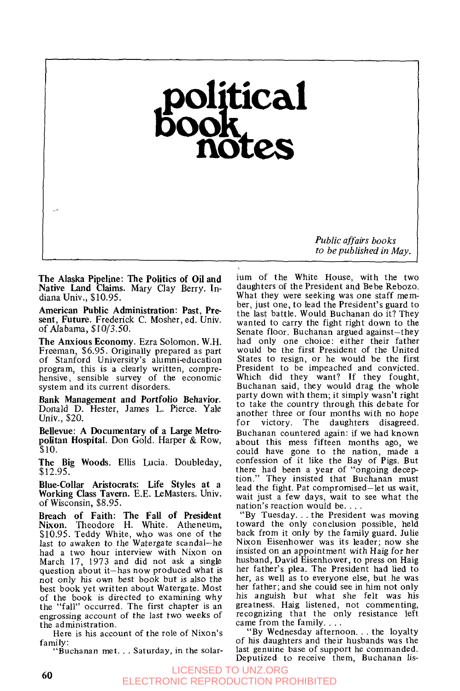## political<br>iook ote:

*Public affairs books to be published in May.* 

**The Alaska Pipeline: The Politics of Oil and Native Land Claims.** Mary Clay Berry. Indiana Univ., \$10.95.

,-

**American Public Administration: Past, Present, Future.** Frederick C. Mosher, ed. Univ. of Alabama, \$10/3.50.

**The Anxious Economy.** Ezra Solomon. W.H. Freeman, \$6.95. Originally prepared as part of Stanford University's alumnieducation program, this is a clearly written, comprehensive, sensible survey of the economic system and its current disorders.

**Bank Management and Portfolio Behavior.**  Donald D. Hester, James L. Pierce. Yale Univ., \$20.

**Bellevue: A Documentary of a Large Metropolitan Hospital.** Don Gold. Harper & Row, \$10.

**The Big Woods.** Ellis Lucia. Doubleday, \$12.95.

**Blue-Collar Aristocrats: Life Styles at** a **Working Class Tavern.** E.E. LeMasters. Univ. of Wisconsin, \$8.95.

**Breach of Faith: The Fall of President Nixon.** Theodore H. White. Atheneum, \$10.95. Teddy White, who was one of the last to awaken to the Watergate scandal-he had a two hour interview with Nixon on March 17, 1973 and did not ask a single question about it-has now produced what is not only his own best book but is also the best book yet written about Watergate. Most of the book is directed to examining why the "fall" occurred. The first chapter is an engrossing account of the last two weeks of the administration.

Here is his account of the role of Nixon's family: "Buchanan met.. . Saturday, in the solar-

ium of the White House, with the two daughters of the President and Bebe Rebozo. What they were seeking was one staff member, just one, to lead the President's guard to the last battle. Would Buchanan do it? They wanted to carry the fight right down to the Senate floor. Buchanan argued against-they had only one choice: either their father would be the first President of the United States to resign, or he would be the first President to be impeached and convicted. Which did they want? If they fought, Buchanan said, they would drag the whole party down with them; it simply wasn't right to take the country through this debate for another three or four months with no hope<br>for victory. The daughters disagreed. for victory. The daughters disagreed. Buchanan countered again: if we had known about this mess fifteen months ago, we could have gone to the nation, made a confession of it like the Bay of Pigs. But there had been a year of "ongoing deception." They insisted that Buchanan must lead the fight. Pat compromised-let **us** wait, wait just a few days, wait to see what the nation's reaction would be...

"By Tuesday. . . the President was moving toward the only conclusion possible, held back from it only by the family guard. Julie Nixon Eisenhower was its leader; now she insisted on an appointment with Haig for her husband, David Eisenhower, to press on Haig her father's plea. The President had lied to her, as well as to everyone else, but he was her father; and she could see in him not only his anguish but what she felt was his greatness. Haig listened, not commenting, recognizing that the only resistance left

"By Wednesday afternoon. . . the loyalty of his daughters and their husbands was the last genuine base of support he commanded. Deputized to receive them, Buchanan **lis-**

*60* LICENSED TO UNZ.ORG ELECTRONIC REPRODUCTION PROHIBITED